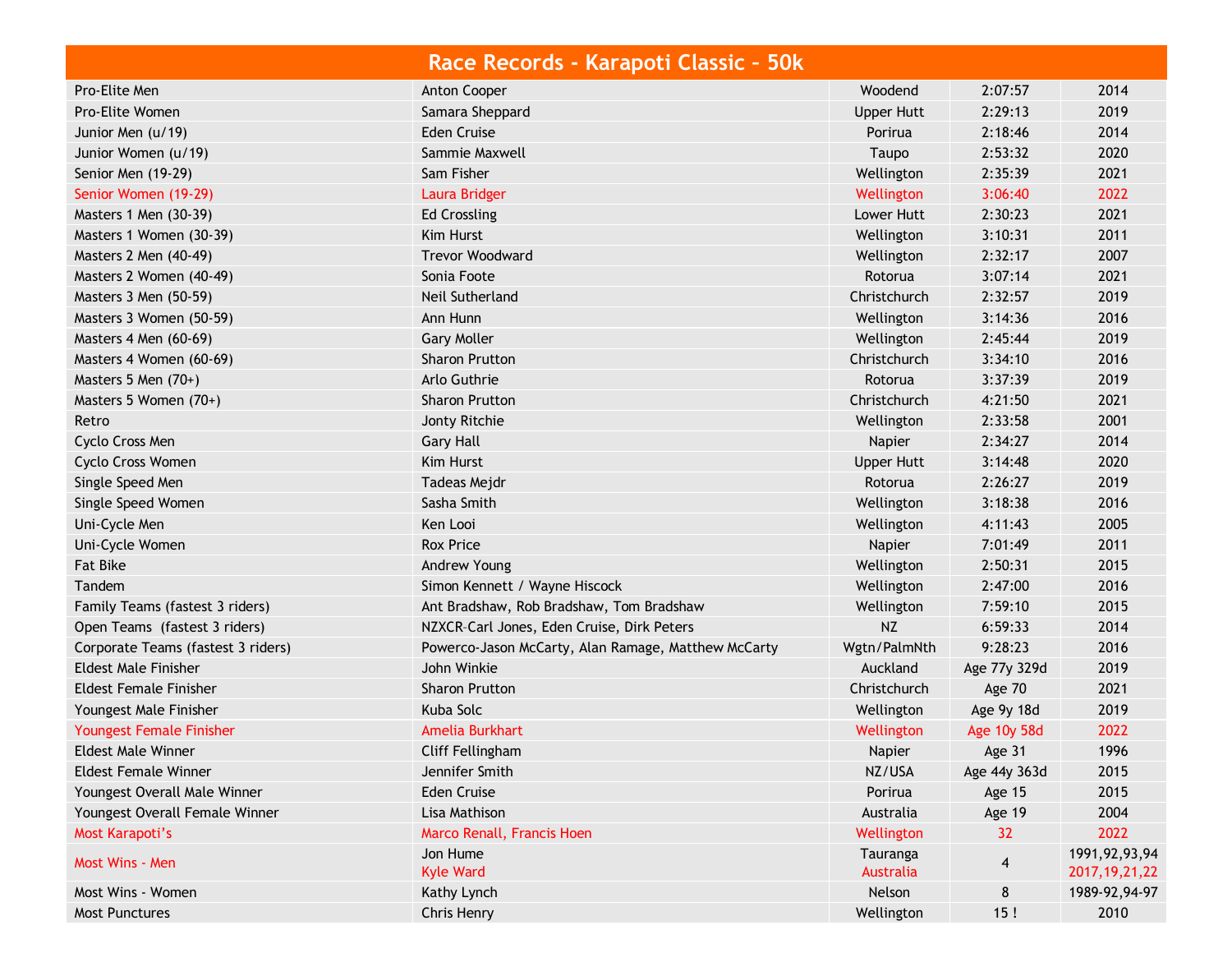|                                    | Race Records - Karapoti Classic - 50k               |                       |              |                                      |
|------------------------------------|-----------------------------------------------------|-----------------------|--------------|--------------------------------------|
| Pro-Elite Men                      | Anton Cooper                                        | Woodend               | 2:07:57      | 2014                                 |
| Pro-Elite Women                    | Samara Sheppard                                     | <b>Upper Hutt</b>     | 2:29:13      | 2019                                 |
| Junior Men (u/19)                  | <b>Eden Cruise</b>                                  | Porirua               | 2:18:46      | 2014                                 |
| Junior Women (u/19)                | Sammie Maxwell                                      | Taupo                 | 2:53:32      | 2020                                 |
| Senior Men (19-29)                 | Sam Fisher                                          | Wellington            | 2:35:39      | 2021                                 |
| Senior Women (19-29)               | Laura Bridger                                       | Wellington            | 3:06:40      | 2022                                 |
| Masters 1 Men (30-39)              | <b>Ed Crossling</b>                                 | Lower Hutt            | 2:30:23      | 2021                                 |
| Masters 1 Women (30-39)            | Kim Hurst                                           | Wellington            | 3:10:31      | 2011                                 |
| Masters 2 Men (40-49)              | <b>Trevor Woodward</b>                              | Wellington            | 2:32:17      | 2007                                 |
| Masters 2 Women (40-49)            | Sonia Foote                                         | Rotorua               | 3:07:14      | 2021                                 |
| Masters 3 Men (50-59)              | Neil Sutherland                                     | Christchurch          | 2:32:57      | 2019                                 |
| Masters 3 Women (50-59)            | Ann Hunn                                            | Wellington            | 3:14:36      | 2016                                 |
| Masters 4 Men (60-69)              | <b>Gary Moller</b>                                  | Wellington            | 2:45:44      | 2019                                 |
| Masters 4 Women (60-69)            | Sharon Prutton                                      | Christchurch          | 3:34:10      | 2016                                 |
| Masters 5 Men $(70+)$              | Arlo Guthrie                                        | Rotorua               | 3:37:39      | 2019                                 |
| Masters 5 Women (70+)              | Sharon Prutton                                      | Christchurch          | 4:21:50      | 2021                                 |
| Retro                              | Jonty Ritchie                                       | Wellington            | 2:33:58      | 2001                                 |
| Cyclo Cross Men                    | <b>Gary Hall</b>                                    | Napier                | 2:34:27      | 2014                                 |
| Cyclo Cross Women                  | Kim Hurst                                           | Upper Hutt            | 3:14:48      | 2020                                 |
| Single Speed Men                   | Tadeas Mejdr                                        | Rotorua               | 2:26:27      | 2019                                 |
| Single Speed Women                 | Sasha Smith                                         | Wellington            | 3:18:38      | 2016                                 |
| Uni-Cycle Men                      | Ken Looi                                            | Wellington            | 4:11:43      | 2005                                 |
| Uni-Cycle Women                    | <b>Rox Price</b>                                    | Napier                | 7:01:49      | 2011                                 |
| <b>Fat Bike</b>                    | Andrew Young                                        | Wellington            | 2:50:31      | 2015                                 |
| Tandem                             | Simon Kennett / Wayne Hiscock                       | Wellington            | 2:47:00      | 2016                                 |
| Family Teams (fastest 3 riders)    | Ant Bradshaw, Rob Bradshaw, Tom Bradshaw            | Wellington            | 7:59:10      | 2015                                 |
| Open Teams (fastest 3 riders)      | NZXCR-Carl Jones, Eden Cruise, Dirk Peters          | <b>NZ</b>             | 6:59:33      | 2014                                 |
| Corporate Teams (fastest 3 riders) | Powerco-Jason McCarty, Alan Ramage, Matthew McCarty | Wgtn/PalmNth          | 9:28:23      | 2016                                 |
| <b>Eldest Male Finisher</b>        | John Winkie                                         | Auckland              | Age 77y 329d | 2019                                 |
| <b>Eldest Female Finisher</b>      | <b>Sharon Prutton</b>                               | Christchurch          | Age 70       | 2021                                 |
| Youngest Male Finisher             | Kuba Solc                                           | Wellington            | Age 9y 18d   | 2019                                 |
| Youngest Female Finisher           | Amelia Burkhart                                     | Wellington            | Age 10y 58d  | 2022                                 |
| <b>Eldest Male Winner</b>          | Cliff Fellingham                                    | Napier                | Age 31       | 1996                                 |
| <b>Eldest Female Winner</b>        | Jennifer Smith                                      | NZ/USA                | Age 44y 363d | 2015                                 |
| Youngest Overall Male Winner       | Eden Cruise                                         | Porirua               | Age 15       | 2015                                 |
| Youngest Overall Female Winner     | Lisa Mathison                                       | Australia             | Age 19       | 2004                                 |
| Most Karapoti's                    | Marco Renall, Francis Hoen                          | Wellington            | 32           | 2022                                 |
| Most Wins - Men                    | Jon Hume<br><b>Kyle Ward</b>                        | Tauranga<br>Australia | 4            | 1991, 92, 93, 94<br>2017, 19, 21, 22 |
| Most Wins - Women                  | Kathy Lynch                                         | Nelson                | 8            | 1989-92,94-97                        |
| <b>Most Punctures</b>              | Chris Henry                                         | Wellington            | 15!          | 2010                                 |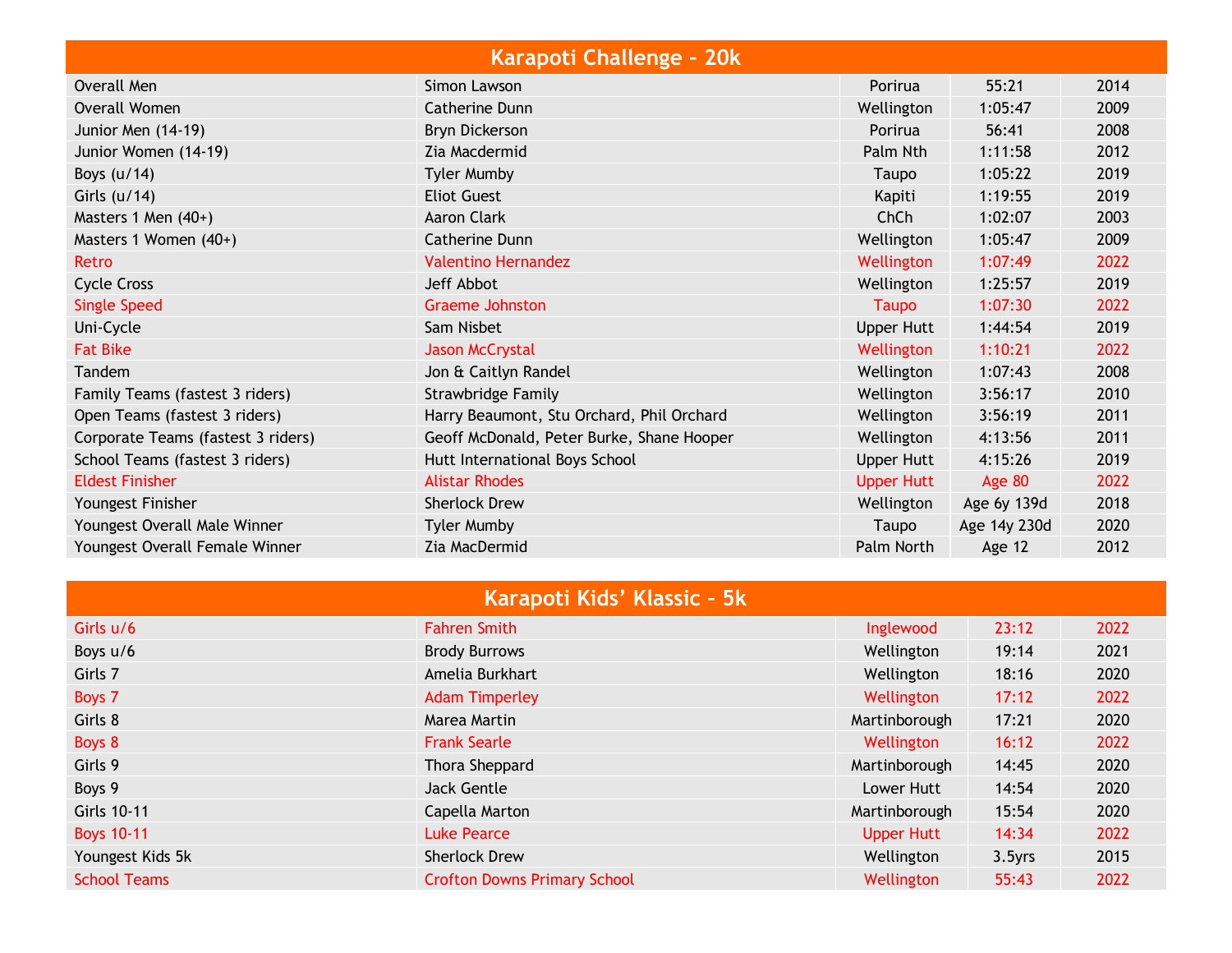| Karapoti Challenge - 20k           |                                           |                   |              |      |
|------------------------------------|-------------------------------------------|-------------------|--------------|------|
| Overall Men                        | Simon Lawson                              | Porirua           | 55:21        | 2014 |
| <b>Overall Women</b>               | Catherine Dunn                            | Wellington        | 1:05:47      | 2009 |
| Junior Men (14-19)                 | <b>Bryn Dickerson</b>                     | Porirua           | 56:41        | 2008 |
| Junior Women (14-19)               | Zia Macdermid                             | Palm Nth          | 1:11:58      | 2012 |
| Boys $(u/14)$                      | <b>Tyler Mumby</b>                        | Taupo             | 1:05:22      | 2019 |
| Girls $(u/14)$                     | <b>Eliot Guest</b>                        | Kapiti            | 1:19:55      | 2019 |
| Masters 1 Men (40+)                | <b>Aaron Clark</b>                        | ChCh              | 1:02:07      | 2003 |
| Masters 1 Women (40+)              | Catherine Dunn                            | Wellington        | 1:05:47      | 2009 |
| Retro                              | <b>Valentino Hernandez</b>                | Wellington        | 1:07:49      | 2022 |
| Cycle Cross                        | Jeff Abbot                                | Wellington        | 1:25:57      | 2019 |
| <b>Single Speed</b>                | <b>Graeme Johnston</b>                    | <b>Taupo</b>      | 1:07:30      | 2022 |
| Uni-Cycle                          | Sam Nisbet                                | <b>Upper Hutt</b> | 1:44:54      | 2019 |
| <b>Fat Bike</b>                    | <b>Jason McCrystal</b>                    | Wellington        | 1:10:21      | 2022 |
| Tandem                             | Jon & Caitlyn Randel                      | Wellington        | 1:07:43      | 2008 |
| Family Teams (fastest 3 riders)    | Strawbridge Family                        | Wellington        | 3:56:17      | 2010 |
| Open Teams (fastest 3 riders)      | Harry Beaumont, Stu Orchard, Phil Orchard | Wellington        | 3:56:19      | 2011 |
| Corporate Teams (fastest 3 riders) | Geoff McDonald, Peter Burke, Shane Hooper | Wellington        | 4:13:56      | 2011 |
| School Teams (fastest 3 riders)    | Hutt International Boys School            | Upper Hutt        | 4:15:26      | 2019 |
| <b>Eldest Finisher</b>             | <b>Alistar Rhodes</b>                     | <b>Upper Hutt</b> | Age 80       | 2022 |
| Youngest Finisher                  | <b>Sherlock Drew</b>                      | Wellington        | Age 6y 139d  | 2018 |
| Youngest Overall Male Winner       | <b>Tyler Mumby</b>                        | Taupo             | Age 14y 230d | 2020 |
| Youngest Overall Female Winner     | Zia MacDermid                             | Palm North        | Age 12       | 2012 |

| Karapoti Kids' Klassic - 5k |                                     |                   |        |      |  |
|-----------------------------|-------------------------------------|-------------------|--------|------|--|
| Girls u/6                   | <b>Fahren Smith</b>                 | Inglewood         | 23:12  | 2022 |  |
| Boys u/6                    | <b>Brody Burrows</b>                | Wellington        | 19:14  | 2021 |  |
| Girls 7                     | Amelia Burkhart                     | Wellington        | 18:16  | 2020 |  |
| Boys 7                      | <b>Adam Timperley</b>               | Wellington        | 17:12  | 2022 |  |
| Girls 8                     | Marea Martin                        | Martinborough     | 17:21  | 2020 |  |
| Boys 8                      | <b>Frank Searle</b>                 | Wellington        | 16:12  | 2022 |  |
| Girls 9                     | Thora Sheppard                      | Martinborough     | 14:45  | 2020 |  |
| Boys 9                      | <b>Jack Gentle</b>                  | Lower Hutt        | 14:54  | 2020 |  |
| Girls 10-11                 | Capella Marton                      | Martinborough     | 15:54  | 2020 |  |
| <b>Boys 10-11</b>           | <b>Luke Pearce</b>                  | <b>Upper Hutt</b> | 14:34  | 2022 |  |
| Youngest Kids 5k            | <b>Sherlock Drew</b>                | Wellington        | 3.5yrs | 2015 |  |
| <b>School Teams</b>         | <b>Crofton Downs Primary School</b> | Wellington        | 55:43  | 2022 |  |